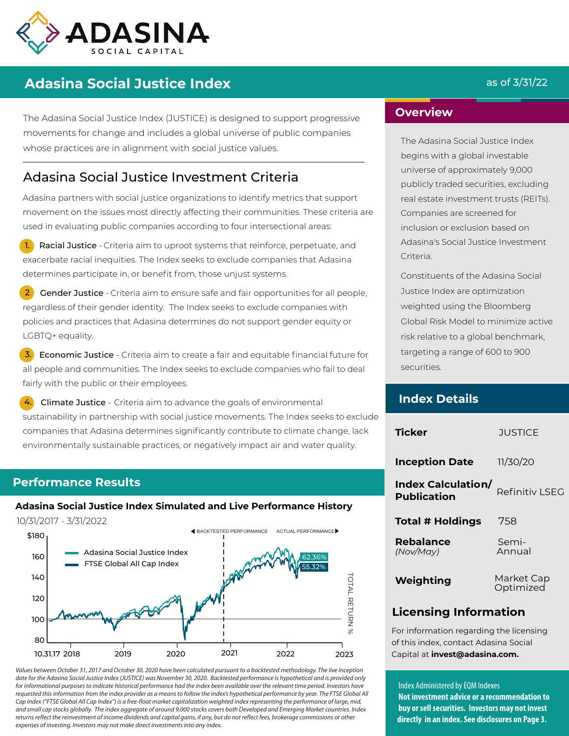

# **Adasina Social Justice Index** and the set of  $\frac{3}{31/22}$

The Adasina Social Justice Index (JUSTICE) is designed to support progressive movements for change and includes a global universe of public companies whose practices are in alignment with social justice values.

# Adasina Social Justice Investment Criteria

Adasina partners with social justice organizations to identify metrics that support movement on the issues most directly affecting their communities. These criteria are used in evaluating public companies according to four intersectional areas:

1. Racial Justice - Criteria aim to uproot systems that reinforce, perpetuate, and exacerbate racial inequities. The Index seeks to exclude companies that Adasina determines participate in, or benefit from, those unjust systems.

2. Gender Justice - Criteria aim to ensure safe and fair opportunities for all people, regardless of their gender identity. The Index seeks to exclude companies with policies and practices that Adasina determines do not support gender equity or LGBTQ+ equality.

**3.** Economic Justice - Criteria aim to create a fair and equitable financial future for all people and communities. The Index seeks to exclude companies who fail to deal fairly with the public or their employees.

Climate Justice - Criteria aim to advance the goals of environmental sustainability in partnership with social justice movements. The Index seeks to exclude companies that Adasina determines significantly contribute to climate change, lack environmentally sustainable practices, or negatively impact air and water quality.

## **Performance Results**

# **Adasina Social Justice Index Simulated and Live Performance History**

10/31/2017 - 3/31/2022

j



Values between October 31, 2017 and October 30, 2020 have been calculated pursuant to a backtested methodology. The live inception date for the Adasina Social Justice Index (JUSTICE) was November 30, 2020. Backtested performance is hypothetical and is provided only for informational purposes to indicate historical performance had the index been available over the relevant time period. Investors have requested this information from the index provider as a means to follow the index's hypothetical performance by year. The FTSE Global All Cap Index ("FTSE Global All Cap Index") is a free-float market capitalization weighted index representing the performance of large, mid, and small cap stocks globally. The index aggregate of around 9,000 stocks covers both Developed and Emerging Market countries. Index returns reflect the reinvestment of income dividends and capital gains, if any, but do not reflect fees, brokerage commissions or other expenses of investing. Investors may not make direct investments into any index.

## **Overview**

The Adasina Social Justice Index begins with a global investable universe of approximately 9,000 publicly traded securities, excluding real estate investment trusts (REITs). Companies are screened for inclusion or exclusion based on Adasina's Social Justice Investment Criteria.

Constituents of the Adasina Social Justice Index are optimization weighted using the Bloomberg Global Risk Model to minimize active risk relative to a global benchmark, targeting a range of 600 to 900 securities.

## **Index Details**

| <b>Ticker</b>                                   | <b>JUSTICE</b>          |
|-------------------------------------------------|-------------------------|
| <b>Inception Date</b>                           | 11/30/20                |
| <b>Index Calculation/</b><br><b>Publication</b> | Refinitiv LSEG          |
| <b>Total # Holdings</b>                         | 758                     |
| <b>Rebalance</b><br>(Nov/Mav)                   | Semi-<br>Annual         |
| Weighting                                       | Market Cap<br>Optimized |

# **Licensing Information**

For information regarding the licensing of this index, contact Adasina Social Capital at **invest@adasina.com.**

#### Index Administered by EQM Indexes

**Not investment advice or a recommendation to buy or sell securities. Investors may not invest directly in an index. See disclosures on Page 3.**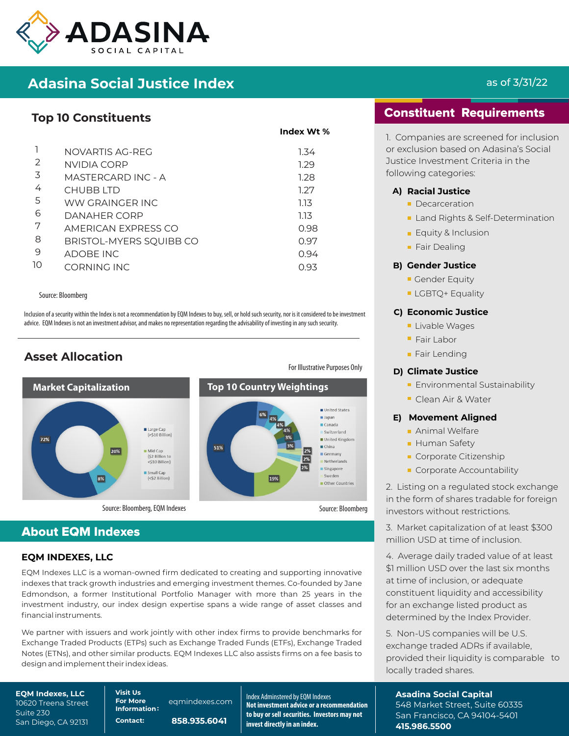

# **Adasina Social Justice Index**

# **Top 10 Constituents**

|    | NOVARTIS AG-REG         | 1.34 |
|----|-------------------------|------|
| 2  | NVIDIA CORP             | 1.29 |
| 3  | MASTERCARD INC - A      | 1.28 |
| 4  | CHUBB ITD               | 1.27 |
| 5  | WW GRAINGER INC         | 1.13 |
| 6  | DANAHER CORP            | 1.13 |
| 7  | AMERICAN EXPRESS CO     | 0.98 |
| 8  | BRISTOL-MYERS SQUIBB CO | 0.97 |
| 9  | <b>ADOBE INC</b>        | 0.94 |
| 10 | CORNING INC             | 0.93 |
|    |                         |      |

#### Source: Bloomberg

Inclusion of a security within the Index is not a recommendation by EQM Indexes to buy, sell, or hold such security, nor is it considered to be investment advice. EQM Indexes is not an investment advisor, and makes no representation regarding the advisability of investing in any such security.

# **Asset Allocation**



**Index Wt %**



# About EQM Indexes

### **EQM INDEXES, LLC**

EQM Indexes LLC is a woman-owned firm dedicated to creating and supporting innovative indexes that track growth industries and emerging investment themes. Co-founded by Jane Edmondson, a former Institutional Portfolio Manager with more than 25 years in the investment industry, our index design expertise spans a wide range of asset classes and financial instruments.

We partner with issuers and work jointly with other index firms to provide benchmarks for Exchange Traded Products (ETPs) such as Exchange Traded Funds (ETFs), Exchange Traded Notes (ETNs), and other similar products. EQM Indexes LLC also assists firms on a fee basis to design and implement their index ideas.

**EQM Indexes, LLC** 10620 Treena Street Suite 230 San Diego, CA 92131 **For More** eqmindexes.com **Information:**

**Contact: 858.935.6041**

**Visit Us** Index Adminstered by EQM Indexes **Not investment advice or a recommendation to buy or sell securities. Investors may not invest directly in an index.**

# as of 3/31/22

# Constituent Requirements

1. Companies are screened for inclusion or exclusion based on Adasina's Social Justice Investment Criteria in the following categories:

#### **A) Racial Justice**

- **Decarceration**
- Land Rights & Self-Determination
- **Equity & Inclusion**
- **Fair Dealing**

#### **B) Gender Justice**

- Gender Equity
- **LGBTQ+ Equality**

#### **C) Economic Justice**

- Livable Wages
- **Fair Labor**
- **Fair Lending**

#### **D) Climate Justice**

- **Environmental Sustainability**
- Clean Air & Water

#### **E) Movement Aligned**

- **Animal Welfare**
- **Human Safety**
- Corporate Citizenship
- Corporate Accountability

2. Listing on a regulated stock exchange in the form of shares tradable for foreign investors without restrictions.

3. Market capitalization of at least \$300 million USD at time of inclusion.

4. Average daily traded value of at least \$1 million USD over the last six months at time of inclusion, or adequate constituent liquidity and accessibility for an exchange listed product as determined by the Index Provider.

5. Non-US companies will be U.S. exchange traded ADRs if available, provided their liquidity is comparable to locally traded shares.

**Asadina Social Capital** 548 Market Street, Suite 60335 San Francisco, CA 94104-5401 **415.986.5500**